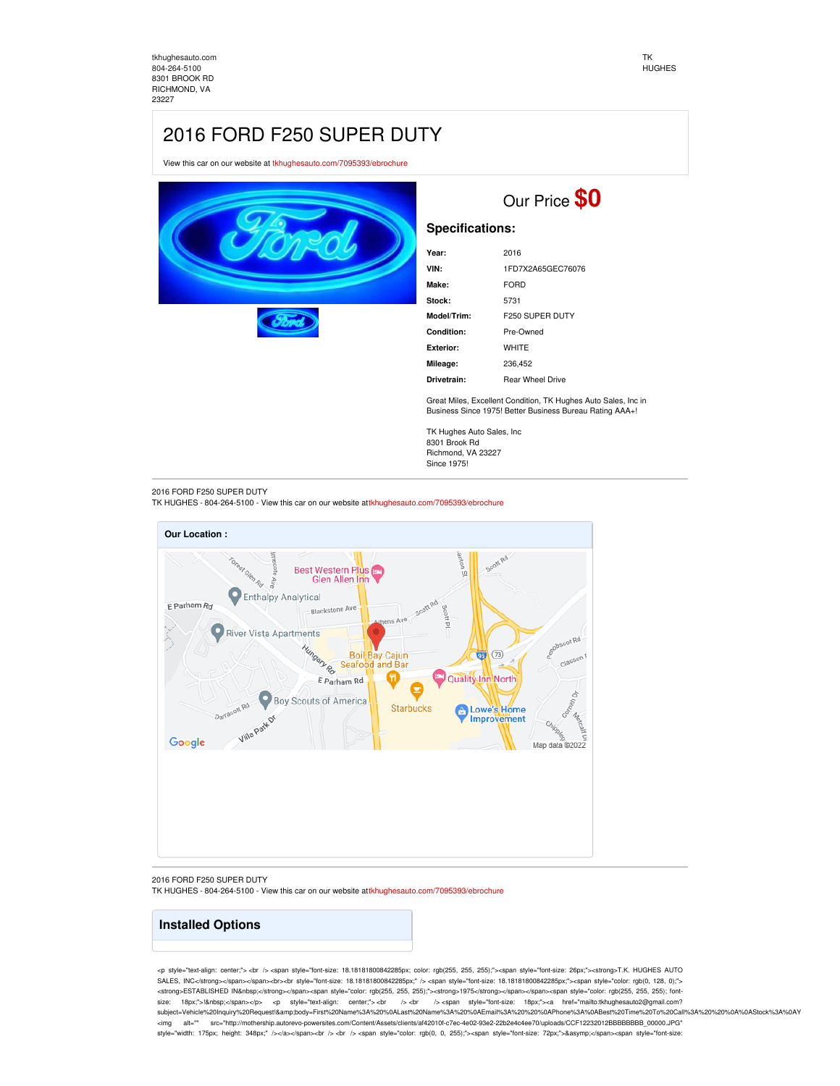[tkhughesauto.com](https://tkhughesauto.com/) [804-264-5100](tel:804-264-5100) 8301 BROOK RD RICHMOND, VA 23227

## 2016 FORD F250 SUPER DUTY

View this car on our website at [tkhughesauto.com/7095393/ebrochure](https://tkhughesauto.com/vehicle/7095393/2016-ford-f250-super-duty-richmond-va-23227/7095393/ebrochure)





## **Specifications:**

| Year:       | 2016                    |
|-------------|-------------------------|
| VIN:        | 1FD7X2A65GEC76076       |
| Make:       | <b>FORD</b>             |
| Stock:      | 5731                    |
| Model/Trim: | <b>F250 SUPER DUTY</b>  |
| Condition:  | Pre-Owned               |
| Exterior:   | WHITE                   |
| Mileage:    | 236.452                 |
| Drivetrain: | <b>Rear Wheel Drive</b> |

Great Miles, Excellent Condition, TK Hughes Auto Sales, Inc in Business Since 1975! Better Business Bureau Rating AAA+!

TK Hughes Auto Sales, Inc 8301 Brook Rd Richmond, VA 23227 Since 1975!

2016 FORD F250 SUPER DUTY

TK HUGHES - 804-264-5100 - View this car on our website at[tkhughesauto.com/7095393/ebrochure](https://tkhughesauto.com/vehicle/7095393/2016-ford-f250-super-duty-richmond-va-23227/7095393/ebrochure)



2016 FORD F250 SUPER DUTY TK HUGHES - 804-264-5100 - View this car on our website at[tkhughesauto.com/7095393/ebrochure](https://tkhughesauto.com/vehicle/7095393/2016-ford-f250-super-duty-richmond-va-23227/7095393/ebrochure)

## **Installed Options**

<p style="text-align: center;"> <br /> <span style="font-size: 18.18181800842285px; color: rgb(255, 255, 255);"><span style="font-size: 26px;"><strong>T.K. HUGHES AUTO SALES, INC</strong></span></span>b<br <br <>
style="font-size: 18.18181800842285px;" /> <span style="font-size: 18.18181800842285px;"><span style="color: rgb(0, 128, 0);"> <strong>ESTABLISHED IN&nbsp;</strong></span><span style="color: rgb(255, 255, 255);"><strong>1975</strong></span></span><span style="color: rgb(255, 255, 255); fontsize: 18px;">! </span></p> <p style="text-align: center;"> <br />
cbr /> <br />
span style="font-size: 18px;"><a href="mailto:tkhughesauto2@gmail.com? subject=Vehicle%20Inquiny%20Request!&body=First%20Name%3A%20%0ALast%20Name%3A%20%0AEmail%3A%20%20%0APhone%3A%0ABest%20Time%20To%20Call%3A%20%20%0A%0AStock%3A%0AY <img alt="" src="http://mothership.autorevo-powersites.com/Content/Assets/clients/af42010f-c7ec-4e02-93e2-22b2e4c4ee70/uploads/CCF12232012BBBBBBBB\_00000.JPG" style="width: 175px; height: 348px;" /></a></span><br />> <br />> <br />> <span style="color: rgb(0, 0, 255);"><span style="font-size: 72px;">&asymp;</span><span style="font-size: